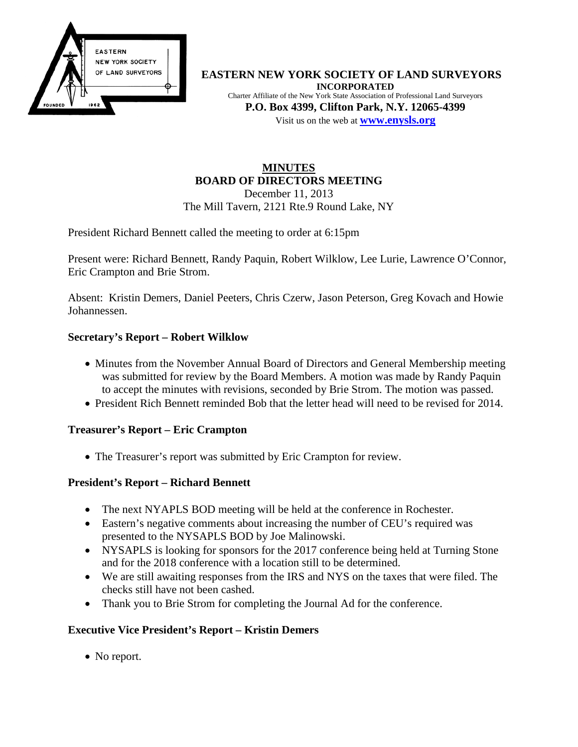

**EASTERN NEW YORK SOCIETY OF LAND SURVEYORS INCORPORATED** Charter Affiliate of the New York State Association of Professional Land Surveyors **P.O. Box 4399, Clifton Park, N.Y. 12065-4399** Visit us on the web at **[www.e](http://www.enysls.org/)nysls.org**

### **MINUTES BOARD OF DIRECTORS MEETING** December 11, 2013

The Mill Tavern, 2121 Rte.9 Round Lake, NY

President Richard Bennett called the meeting to order at 6:15pm

Present were: Richard Bennett, Randy Paquin, Robert Wilklow, Lee Lurie, Lawrence O'Connor, Eric Crampton and Brie Strom.

Absent: Kristin Demers, Daniel Peeters, Chris Czerw, Jason Peterson, Greg Kovach and Howie Johannessen.

# **Secretary's Report – Robert Wilklow**

- Minutes from the November Annual Board of Directors and General Membership meeting was submitted for review by the Board Members. A motion was made by Randy Paquin to accept the minutes with revisions, seconded by Brie Strom. The motion was passed.
- President Rich Bennett reminded Bob that the letter head will need to be revised for 2014.

### **Treasurer's Report – Eric Crampton**

• The Treasurer's report was submitted by Eric Crampton for review.

### **President's Report – Richard Bennett**

- The next NYAPLS BOD meeting will be held at the conference in Rochester.
- Eastern's negative comments about increasing the number of CEU's required was presented to the NYSAPLS BOD by Joe Malinowski.
- NYSAPLS is looking for sponsors for the 2017 conference being held at Turning Stone and for the 2018 conference with a location still to be determined.
- We are still awaiting responses from the IRS and NYS on the taxes that were filed. The checks still have not been cashed.
- Thank you to Brie Strom for completing the Journal Ad for the conference.

# **Executive Vice President's Report – Kristin Demers**

• No report.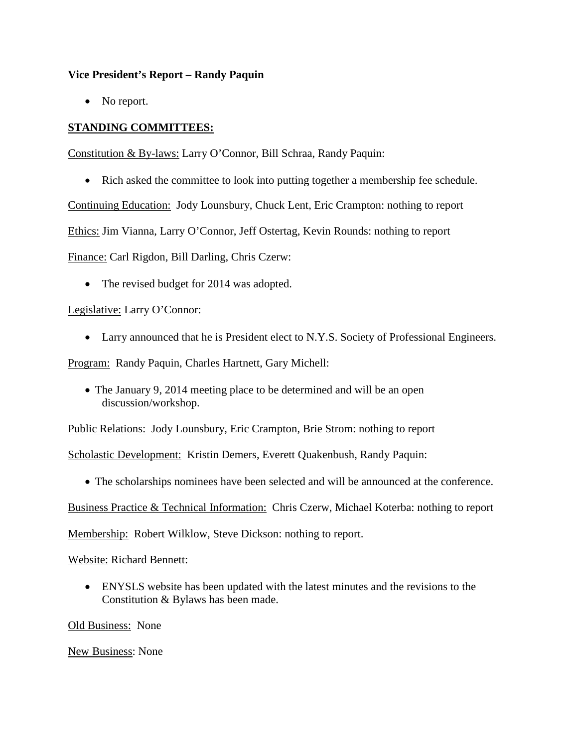#### **Vice President's Report – Randy Paquin**

• No report.

# **STANDING COMMITTEES:**

Constitution & By-laws: Larry O'Connor, Bill Schraa, Randy Paquin:

• Rich asked the committee to look into putting together a membership fee schedule.

Continuing Education: Jody Lounsbury, Chuck Lent, Eric Crampton: nothing to report

Ethics: Jim Vianna, Larry O'Connor, Jeff Ostertag, Kevin Rounds: nothing to report

Finance: Carl Rigdon, Bill Darling, Chris Czerw:

• The revised budget for 2014 was adopted.

### Legislative: Larry O'Connor:

• Larry announced that he is President elect to N.Y.S. Society of Professional Engineers.

Program: Randy Paquin, Charles Hartnett, Gary Michell:

• The January 9, 2014 meeting place to be determined and will be an open discussion/workshop.

Public Relations: Jody Lounsbury, Eric Crampton, Brie Strom: nothing to report

Scholastic Development: Kristin Demers, Everett Quakenbush, Randy Paquin:

• The scholarships nominees have been selected and will be announced at the conference.

Business Practice & Technical Information: Chris Czerw, Michael Koterba: nothing to report

Membership: Robert Wilklow, Steve Dickson: nothing to report.

#### Website: Richard Bennett:

• ENYSLS website has been updated with the latest minutes and the revisions to the Constitution & Bylaws has been made.

Old Business: None

New Business: None